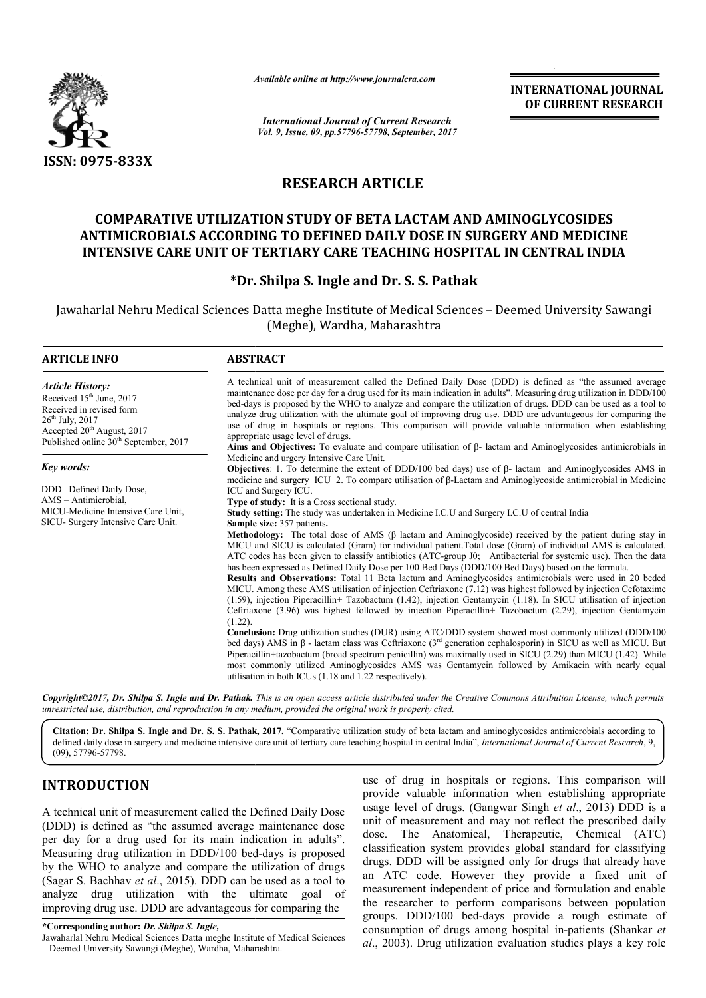

*Available online at http://www.journal http://www.journalcra.com*

## **RESEARCH ARTICLE**

## **COMPARATIVE UTILIZATION STUDY OF BETA LACTAM AND AMINOGLYCOSIDES ANTIMICROBIALS ACCORDING TO DEFINED DAILY DOSE IN SURGERY AND MEDICINE COMPARATIVE UTILIZATION TO DEFINED INTENSIVE CARE UNIT OF TERTIARY CARE TEACHING HOSPITAL IN CENTRAL INDIA**

## **\*Dr. Shilpa S. Ingle and . Dr. S. S. Pathak**

|                                                                                                                                                                                                                                                                                                                                                                                                                                                                                                                                                           | unuvic viinne ui nup.//www.jvurnuicru.com                                                                                                                                                                                                                                                                                                                                                                                                                                                                                                                                                                                                                                                                                                                                                                                                                                                                                                                                                                                                                                                                                                                                                                                                                                       |                                                                                                                                                                                                                                                                                                                                                                                                                                                                                                                                                                                                                           | <b>INTERNATIONAL JOURNAL</b><br>OF CURRENT RESEARCH                                                                                                                                                                                                                                                                           |  |  |
|-----------------------------------------------------------------------------------------------------------------------------------------------------------------------------------------------------------------------------------------------------------------------------------------------------------------------------------------------------------------------------------------------------------------------------------------------------------------------------------------------------------------------------------------------------------|---------------------------------------------------------------------------------------------------------------------------------------------------------------------------------------------------------------------------------------------------------------------------------------------------------------------------------------------------------------------------------------------------------------------------------------------------------------------------------------------------------------------------------------------------------------------------------------------------------------------------------------------------------------------------------------------------------------------------------------------------------------------------------------------------------------------------------------------------------------------------------------------------------------------------------------------------------------------------------------------------------------------------------------------------------------------------------------------------------------------------------------------------------------------------------------------------------------------------------------------------------------------------------|---------------------------------------------------------------------------------------------------------------------------------------------------------------------------------------------------------------------------------------------------------------------------------------------------------------------------------------------------------------------------------------------------------------------------------------------------------------------------------------------------------------------------------------------------------------------------------------------------------------------------|-------------------------------------------------------------------------------------------------------------------------------------------------------------------------------------------------------------------------------------------------------------------------------------------------------------------------------|--|--|
|                                                                                                                                                                                                                                                                                                                                                                                                                                                                                                                                                           |                                                                                                                                                                                                                                                                                                                                                                                                                                                                                                                                                                                                                                                                                                                                                                                                                                                                                                                                                                                                                                                                                                                                                                                                                                                                                 | <b>International Journal of Current Research</b><br>Vol. 9, Issue, 09, pp.57796-57798, September, 2017                                                                                                                                                                                                                                                                                                                                                                                                                                                                                                                    |                                                                                                                                                                                                                                                                                                                               |  |  |
| <b>ISSN: 0975-833X</b>                                                                                                                                                                                                                                                                                                                                                                                                                                                                                                                                    |                                                                                                                                                                                                                                                                                                                                                                                                                                                                                                                                                                                                                                                                                                                                                                                                                                                                                                                                                                                                                                                                                                                                                                                                                                                                                 |                                                                                                                                                                                                                                                                                                                                                                                                                                                                                                                                                                                                                           |                                                                                                                                                                                                                                                                                                                               |  |  |
|                                                                                                                                                                                                                                                                                                                                                                                                                                                                                                                                                           | <b>RESEARCH ARTICLE</b>                                                                                                                                                                                                                                                                                                                                                                                                                                                                                                                                                                                                                                                                                                                                                                                                                                                                                                                                                                                                                                                                                                                                                                                                                                                         |                                                                                                                                                                                                                                                                                                                                                                                                                                                                                                                                                                                                                           |                                                                                                                                                                                                                                                                                                                               |  |  |
|                                                                                                                                                                                                                                                                                                                                                                                                                                                                                                                                                           | <b>COMPARATIVE UTILIZATION STUDY OF BETA LACTAM AND AMINOGLYCOSIDES</b><br>ANTIMICROBIALS ACCORDING TO DEFINED DAILY DOSE IN SURGERY AND MEDICINE<br><b>INTENSIVE CARE UNIT OF TERTIARY CARE TEACHING HOSPITAL IN CENTRAL INDIA</b>                                                                                                                                                                                                                                                                                                                                                                                                                                                                                                                                                                                                                                                                                                                                                                                                                                                                                                                                                                                                                                             |                                                                                                                                                                                                                                                                                                                                                                                                                                                                                                                                                                                                                           |                                                                                                                                                                                                                                                                                                                               |  |  |
|                                                                                                                                                                                                                                                                                                                                                                                                                                                                                                                                                           |                                                                                                                                                                                                                                                                                                                                                                                                                                                                                                                                                                                                                                                                                                                                                                                                                                                                                                                                                                                                                                                                                                                                                                                                                                                                                 | *Dr. Shilpa S. Ingle and Dr. S. S. Pathak                                                                                                                                                                                                                                                                                                                                                                                                                                                                                                                                                                                 |                                                                                                                                                                                                                                                                                                                               |  |  |
|                                                                                                                                                                                                                                                                                                                                                                                                                                                                                                                                                           |                                                                                                                                                                                                                                                                                                                                                                                                                                                                                                                                                                                                                                                                                                                                                                                                                                                                                                                                                                                                                                                                                                                                                                                                                                                                                 | (Meghe), Wardha, Maharashtra                                                                                                                                                                                                                                                                                                                                                                                                                                                                                                                                                                                              | Jawaharlal Nehru Medical Sciences Datta meghe Institute of Medical Sciences - Deemed University Sawangi                                                                                                                                                                                                                       |  |  |
| <b>ARTICLE INFO</b>                                                                                                                                                                                                                                                                                                                                                                                                                                                                                                                                       | <b>ABSTRACT</b>                                                                                                                                                                                                                                                                                                                                                                                                                                                                                                                                                                                                                                                                                                                                                                                                                                                                                                                                                                                                                                                                                                                                                                                                                                                                 |                                                                                                                                                                                                                                                                                                                                                                                                                                                                                                                                                                                                                           |                                                                                                                                                                                                                                                                                                                               |  |  |
| <b>Article History:</b><br>Received 15 <sup>th</sup> June, 2017<br>Received in revised form<br>26 <sup>th</sup> July, 2017<br>Accepted 20 <sup>th</sup> August, 2017<br>Published online 30 <sup>th</sup> September, 2017                                                                                                                                                                                                                                                                                                                                 | A technical unit of measurement called the Defined Daily Dose (DDD) is defined as "the assumed average<br>maintenance dose per day for a drug used for its main indication in adults". Measuring drug utilization in DDD/100<br>bed-days is proposed by the WHO to analyze and compare the utilization of drugs. DDD can be used as a tool to<br>analyze drug utilization with the ultimate goal of improving drug use. DDD are advantageous for comparing the<br>use of drug in hospitals or regions. This comparison will provide valuable information when establishing<br>appropriate usage level of drugs.<br>Aims and Objectives: To evaluate and compare utilisation of $\beta$ - lactam and Aminoglycosides antimicrobials in                                                                                                                                                                                                                                                                                                                                                                                                                                                                                                                                           |                                                                                                                                                                                                                                                                                                                                                                                                                                                                                                                                                                                                                           |                                                                                                                                                                                                                                                                                                                               |  |  |
| Key words:                                                                                                                                                                                                                                                                                                                                                                                                                                                                                                                                                | Medicine and urgery Intensive Care Unit.                                                                                                                                                                                                                                                                                                                                                                                                                                                                                                                                                                                                                                                                                                                                                                                                                                                                                                                                                                                                                                                                                                                                                                                                                                        |                                                                                                                                                                                                                                                                                                                                                                                                                                                                                                                                                                                                                           | <b>Objectives</b> : 1. To determine the extent of DDD/100 bed days) use of $\beta$ - lactam and Aminoglycosides AMS in                                                                                                                                                                                                        |  |  |
| DDD-Defined Daily Dose,<br>AMS - Antimicrobial.<br>MICU-Medicine Intensive Care Unit,<br>SICU- Surgery Intensive Care Unit.                                                                                                                                                                                                                                                                                                                                                                                                                               | medicine and surgery ICU 2. To compare utilisation of $\beta$ -Lactam and Aminoglycoside antimicrobial in Medicine<br>ICU and Surgery ICU.<br>Type of study: It is a Cross sectional study.<br>Study setting: The study was undertaken in Medicine I.C.U and Surgery I.C.U of central India<br><b>Sample size: 357 patients.</b><br><b>Methodology:</b> The total dose of AMS ( $\beta$ lactam and Aminoglycoside) received by the patient during stay in<br>MICU and SICU is calculated (Gram) for individual patient. Total dose (Gram) of individual AMS is calculated.<br>ATC codes has been given to classify antibiotics (ATC-group J0; Antibacterial for systemic use). Then the data<br>has been expressed as Defined Daily Dose per 100 Bed Days (DDD/100 Bed Days) based on the formula.<br>Results and Observations: Total 11 Beta lactum and Aminoglycosides antimicrobials were used in 20 beded<br>MICU. Among these AMS utilisation of injection Ceftriaxone (7.12) was highest followed by injection Cefotaxime<br>(1.59), injection Piperacillin+ Tazobactum (1.42), injection Gentamycin (1.18). In SICU utilisation of injection<br>Ceftriaxone (3.96) was highest followed by injection Piperacillin+ Tazobactum (2.29), injection Gentamycin<br>$(1.22)$ . |                                                                                                                                                                                                                                                                                                                                                                                                                                                                                                                                                                                                                           |                                                                                                                                                                                                                                                                                                                               |  |  |
|                                                                                                                                                                                                                                                                                                                                                                                                                                                                                                                                                           | Conclusion: Drug utilization studies (DUR) using ATC/DDD system showed most commonly utilized (DDD/100<br>bed days) AMS in $\beta$ - lactam class was Ceftriaxone ( $3rd$ generation cephalosporin) in SICU as well as MICU. But<br>Piperacillin+tazobactum (broad spectrum penicillin) was maximally used in SICU (2.29) than MICU (1.42). While<br>most commonly utilized Aminoglycosides AMS was Gentamycin followed by Amikacin with nearly equal<br>utilisation in both ICUs (1.18 and 1.22 respectively).                                                                                                                                                                                                                                                                                                                                                                                                                                                                                                                                                                                                                                                                                                                                                                 |                                                                                                                                                                                                                                                                                                                                                                                                                                                                                                                                                                                                                           |                                                                                                                                                                                                                                                                                                                               |  |  |
| unrestricted use, distribution, and reproduction in any medium, provided the original work is properly cited.                                                                                                                                                                                                                                                                                                                                                                                                                                             |                                                                                                                                                                                                                                                                                                                                                                                                                                                                                                                                                                                                                                                                                                                                                                                                                                                                                                                                                                                                                                                                                                                                                                                                                                                                                 |                                                                                                                                                                                                                                                                                                                                                                                                                                                                                                                                                                                                                           | Copyright©2017, Dr. Shilpa S. Ingle and Dr. Pathak. This is an open access article distributed under the Creative Commons Attribution License, which permits                                                                                                                                                                  |  |  |
| (09), 57796-57798.                                                                                                                                                                                                                                                                                                                                                                                                                                                                                                                                        |                                                                                                                                                                                                                                                                                                                                                                                                                                                                                                                                                                                                                                                                                                                                                                                                                                                                                                                                                                                                                                                                                                                                                                                                                                                                                 |                                                                                                                                                                                                                                                                                                                                                                                                                                                                                                                                                                                                                           | Citation: Dr. Shilpa S. Ingle and Dr. S. S. Pathak, 2017. "Comparative utilization study of beta lactam and aminoglycosides antimicrobials according to<br>defined daily dose in surgery and medicine intensive care unit of tertiary care teaching hospital in central India", International Journal of Current Research, 9, |  |  |
| <b>INTRODUCTION</b>                                                                                                                                                                                                                                                                                                                                                                                                                                                                                                                                       |                                                                                                                                                                                                                                                                                                                                                                                                                                                                                                                                                                                                                                                                                                                                                                                                                                                                                                                                                                                                                                                                                                                                                                                                                                                                                 |                                                                                                                                                                                                                                                                                                                                                                                                                                                                                                                                                                                                                           | use of drug in hospitals or regions. This comparison will<br>provide valuable information when establishing appropriate                                                                                                                                                                                                       |  |  |
| A technical unit of measurement called the Defined Daily Dose<br>(DDD) is defined as "the assumed average maintenance dose<br>per day for a drug used for its main indication in adults".<br>Measuring drug utilization in DDD/100 bed-days is proposed<br>by the WHO to analyze and compare the utilization of drugs<br>(Sagar S. Bachhav et al., 2015). DDD can be used as a tool to<br>analyze drug utilization with the ultimate goal of<br>improving drug use. DDD are advantageous for comparing the<br>*Corresponding author: Dr. Shilpa S. Ingle, |                                                                                                                                                                                                                                                                                                                                                                                                                                                                                                                                                                                                                                                                                                                                                                                                                                                                                                                                                                                                                                                                                                                                                                                                                                                                                 | usage level of drugs. (Gangwar Singh et al., 2013) DDD is a<br>unit of measurement and may not reflect the prescribed daily<br>dose. The Anatomical, Therapeutic, Chemical (ATC)<br>classification system provides global standard for classifying<br>drugs. DDD will be assigned only for drugs that already have<br>an ATC code. However they provide a fixed unit of<br>measurement independent of price and formulation and enable<br>the researcher to perform comparisons between population<br>groups. DDD/100 bed-days provide a rough estimate of<br>consumption of drugs among hospital in-patients (Shankar et |                                                                                                                                                                                                                                                                                                                               |  |  |
| Jawaharlal Nehru Medical Sciences Datta meghe Institute of Medical Sciences<br>Deemed University Sawangi (Meghe), Wardha, Maharashtra                                                                                                                                                                                                                                                                                                                                                                                                                     |                                                                                                                                                                                                                                                                                                                                                                                                                                                                                                                                                                                                                                                                                                                                                                                                                                                                                                                                                                                                                                                                                                                                                                                                                                                                                 |                                                                                                                                                                                                                                                                                                                                                                                                                                                                                                                                                                                                                           | al., 2003). Drug utilization evaluation studies plays a key role                                                                                                                                                                                                                                                              |  |  |

# **INTRODUCTION**

Jawaharlal Nehru Medical Sciences Datta meghe Institute of Medical Sciences – Deemed University Sawangi (Meghe), Wardha, Maharashtra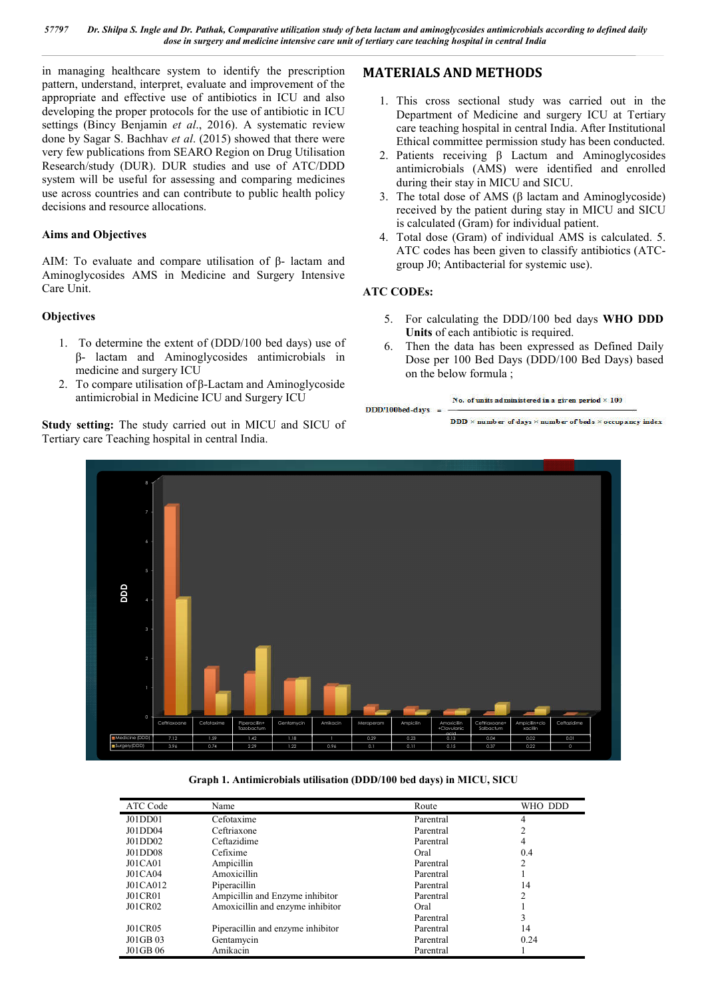*57797 Dr. Shilpa S. Ingle and Dr. Pathak, Comparative utilization study of beta lactam and aminoglycosides antimicrobials according to defined daily dose in surgery and medicine intensive care unit of tertiary care teaching hospital in central India*

in managing healthcare system to identify the prescription pattern, understand, interpret, evaluate and improvement of the appropriate and effective use of antibiotics in ICU and also developing the proper protocols for the use of antibiotic in ICU settings (Bincy Benjamin *et al*., 2016). A systematic review done by Sagar S. Bachhav *et al*. (2015) showed that there were very few publications from SEARO Region on Drug Utilisation Research/study (DUR). DUR studies and use of ATC/DDD system will be useful for assessing and comparing medicines use across countries and can contribute to public health policy decisions and resource allocations.

#### **Aims and Objectives**

AIM: To evaluate and compare utilisation of β- lactam and Aminoglycosides AMS in Medicine and Surgery Intensive Care Unit.

### **Objectives**

- 1. To determine the extent of (DDD/100 bed days) use of β- lactam and Aminoglycosides antimicrobials in medicine and surgery ICU
- 2. To compare utilisation of β-Lactam and Aminoglycoside antimicrobial in Medicine ICU and Surgery ICU

**Study setting:** The study carried out in MICU and SICU of Tertiary care Teaching hospital in central India.

### **MATERIALS AND METHODS**

- 1. This cross sectional study was carried out in the Department of Medicine and surgery ICU at Tertiary care teaching hospital in central India. After Institutional Ethical committee permission study has been conducted.
- 2. Patients receiving β Lactum and Aminoglycosides antimicrobials (AMS) were identified and enrolled during their stay in MICU and SICU.
- 3. The total dose of AMS (β lactam and Aminoglycoside) received by the patient during stay in MICU and SICU is calculated (Gram) for individual patient.
- 4. Total dose (Gram) of individual AMS is calculated. 5. ATC codes has been given to classify antibiotics (ATCgroup J0; Antibacterial for systemic use).

### **ATC CODEs:**

- 5. For calculating the DDD/100 bed days **WHO DDD Units** of each antibiotic is required.
- 6. Then the data has been expressed as Defined Daily Dose per 100 Bed Days (DDD/100 Bed Days) based on the below formula ;

```
No. of units administered in a given period \times 100
DDD/100bed-days
```
**DDD**  $\times$  number of days  $\times$  number of beds  $\times$  occupancy index



**Graph 1. Antimicrobials utilisation (DDD/100 bed days) in MICU, SICU**

| ATC Code       | Name                              | Route     | WHO DDD        |
|----------------|-----------------------------------|-----------|----------------|
| JO1DD01        | Cefotaxime                        | Parentral | 4              |
| J01DD04        | Ceftriaxone                       | Parentral | ∍              |
| JO1DD02        | Ceftazidime                       | Parentral | 4              |
| J01DD08        | Cefixime                          | Oral      | 0.4            |
| J01CA01        | Ampicillin                        | Parentral | $\mathfrak{D}$ |
| J01CA04        | Amoxicillin                       | Parentral |                |
| J01CA012       | Piperacillin                      | Parentral | 14             |
| <b>J01CR01</b> | Ampicillin and Enzyme inhibitor   | Parentral | ↑              |
| J01CR02        | Amoxicillin and enzyme inhibitor  | Oral      |                |
|                |                                   | Parentral | 3              |
| <b>JO1CR05</b> | Piperacillin and enzyme inhibitor | Parentral | 14             |
| J01GB 03       | Gentamycin                        | Parentral | 0.24           |
| J01GB 06       | Amikacin                          | Parentral |                |